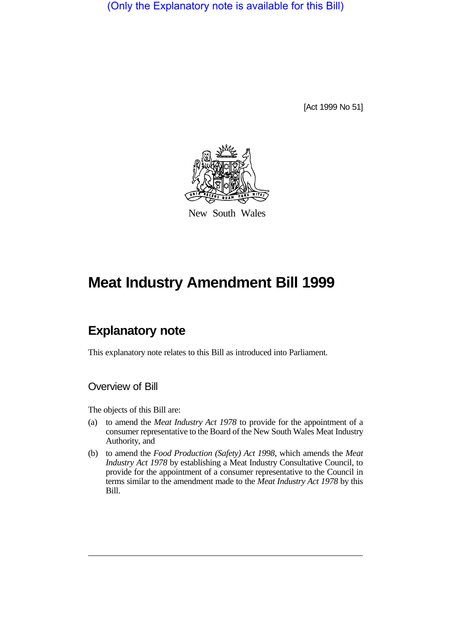(Only the Explanatory note is available for this Bill)

[Act 1999 No 51]



New South Wales

# **Meat Industry Amendment Bill 1999**

# **Explanatory note**

This explanatory note relates to this Bill as introduced into Parliament.

### Overview of Bill

The objects of this Bill are:

- (a) to amend the *Meat Industry Act 1978* to provide for the appointment of a consumer representative to the Board of the New South Wales Meat Industry Authority, and
- (b) to amend the *Food Production (Safety) Act 1998*, which amends the *Meat Industry Act 1978* by establishing a Meat Industry Consultative Council, to provide for the appointment of a consumer representative to the Council in terms similar to the amendment made to the *Meat Industry Act 1978* by this Bill.